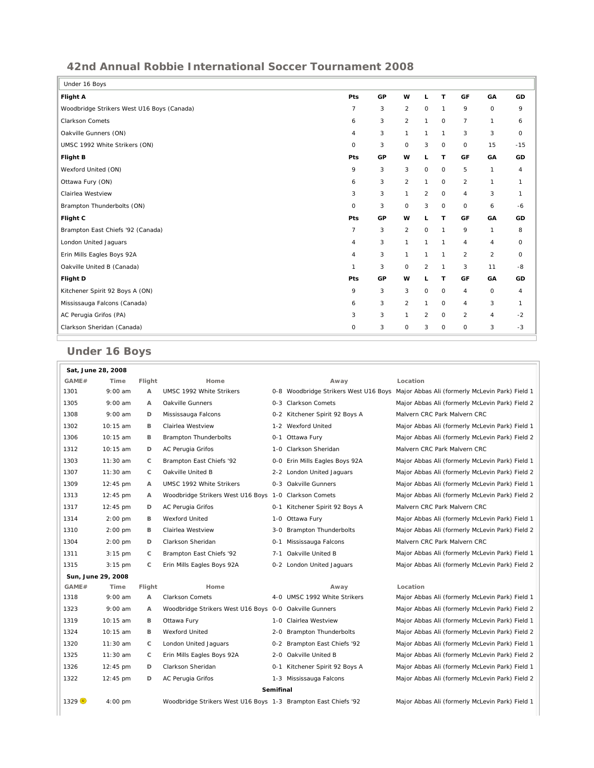## **42nd Annual Robbie International Soccer Tournament 2008**

| Under 16 Boys                              |                |    |                |              |              |                |              |              |
|--------------------------------------------|----------------|----|----------------|--------------|--------------|----------------|--------------|--------------|
| <b>Flight A</b>                            | Pts            | GP | w              | L            | $\mathsf{T}$ | GF             | GA           | GD           |
| Woodbridge Strikers West U16 Boys (Canada) | $\overline{7}$ | 3  | $\overline{2}$ | $\circ$      | $\mathbf{1}$ | 9              | O            | 9            |
| <b>Clarkson Comets</b>                     | 6              | 3  | $\overline{2}$ | 1            | $\mathsf O$  | $\overline{7}$ | 1            | 6            |
| Oakville Gunners (ON)                      | $\overline{4}$ | 3  | $\mathbf{1}$   | $\mathbf{1}$ | $\mathbf{1}$ | 3              | 3            | $\mathbf 0$  |
| UMSC 1992 White Strikers (ON)              | $\circ$        | 3  | 0              | 3            | $\mathsf O$  | 0              | 15           | $-15$        |
| <b>Flight B</b>                            | Pts            | GP | w              | L            | T            | GF             | GA           | GD           |
| Wexford United (ON)                        | 9              | 3  | 3              | 0            | $\mathsf O$  | 5              | 1            | 4            |
| Ottawa Fury (ON)                           | 6              | 3  | $\overline{2}$ | 1            | $\mathsf O$  | $\overline{2}$ | $\mathbf{1}$ | $\mathbf{1}$ |
| Clairlea Westview                          | 3              | 3  | $\mathbf{1}$   | 2            | $\circ$      | 4              | 3            | $\mathbf{1}$ |
| Brampton Thunderbolts (ON)                 | $\mathbf 0$    | 3  | $\circ$        | 3            | $\circ$      | $\circ$        | 6            | $-6$         |
| Flight C                                   | Pts            | GP | w              | L            | T            | GF             | GA           | GD           |
| Brampton East Chiefs '92 (Canada)          | $\overline{7}$ | 3  | $\overline{2}$ | 0            | $\mathbf{1}$ | 9              | 1            | 8            |
| London United Jaguars                      | $\overline{4}$ | 3  | $\mathbf{1}$   | 1            | $\mathbf{1}$ | 4              | 4            | $\circ$      |
| Erin Mills Eagles Boys 92A                 | $\overline{4}$ | 3  | $\mathbf{1}$   | 1            | $\mathbf{1}$ | 2              | 2            | $\circ$      |
| Oakville United B (Canada)                 | $\mathbf{1}$   | 3  | 0              | 2            | $\mathbf{1}$ | 3              | 11           | -8           |
| Flight D                                   | Pts            | GP | w              | L            | T            | GF             | GA           | GD           |
| Kitchener Spirit 92 Boys A (ON)            | 9              | 3  | 3              | 0            | $\mathsf O$  | 4              | 0            | 4            |
| Mississauga Falcons (Canada)               | 6              | 3  | 2              | $\mathbf{1}$ | $\circ$      | 4              | 3            | $\mathbf{1}$ |
| AC Perugia Grifos (PA)                     | 3              | 3  | $\mathbf{1}$   | 2            | $\mathsf O$  | $\overline{2}$ | 4            | $-2$         |
| Clarkson Sheridan (Canada)                 | $\circ$        | 3  | 0              | 3            | $\circ$      | 0              | 3            | $-3$         |
|                                            |                |    |                |              |              |                |              |              |

## **Under 16 Boys**

| Sat, June 28, 2008 |                    |              |                                                                |                  |                                |                                                                                       |
|--------------------|--------------------|--------------|----------------------------------------------------------------|------------------|--------------------------------|---------------------------------------------------------------------------------------|
| GAME#              | Time               | Flight       | Home                                                           |                  | Away                           | Location                                                                              |
| 1301               | $9:00$ am          | A            | UMSC 1992 White Strikers                                       |                  |                                | 0-8 Woodbridge Strikers West U16 Boys Major Abbas Ali (formerly McLevin Park) Field 1 |
| 1305               | $9:00$ am          | A            | Oakville Gunners                                               |                  | 0-3 Clarkson Comets            | Major Abbas Ali (formerly McLevin Park) Field 2                                       |
| 1308               | $9:00$ am          | D            | Mississauga Falcons                                            |                  | 0-2 Kitchener Spirit 92 Boys A | Malvern CRC Park Malvern CRC                                                          |
| 1302               | $10:15$ am         | в            | Clairlea Westview                                              | $1 - 2$          | Wexford United                 | Major Abbas Ali (formerly McLevin Park) Field 1                                       |
| 1306               | $10:15$ am         | B            | <b>Brampton Thunderbolts</b>                                   |                  | 0-1 Ottawa Fury                | Major Abbas Ali (formerly McLevin Park) Field 2                                       |
| 1312               | $10:15$ am         | D            | AC Perugia Grifos                                              | $1 - 0$          | Clarkson Sheridan              | Malvern CRC Park Malvern CRC                                                          |
| 1303               | 11:30 am           | C            | Brampton East Chiefs '92                                       |                  | 0-0 Erin Mills Eagles Boys 92A | Major Abbas Ali (formerly McLevin Park) Field 1                                       |
| 1307               | $11:30$ am         | C            | Oakville United B                                              |                  | 2-2 London United Jaquars      | Major Abbas Ali (formerly McLevin Park) Field 2                                       |
| 1309               | $12:45$ pm         | $\mathsf{A}$ | UMSC 1992 White Strikers                                       |                  | 0-3 Oakville Gunners           | Major Abbas Ali (formerly McLevin Park) Field 1                                       |
| 1313               | $12:45 \text{ pm}$ | А            | Woodbridge Strikers West U16 Boys 1-0                          |                  | <b>Clarkson Comets</b>         | Major Abbas Ali (formerly McLevin Park) Field 2                                       |
| 1317               | $12:45$ pm         | D            | AC Perugia Grifos                                              | 0-1              | Kitchener Spirit 92 Boys A     | Malvern CRC Park Malvern CRC                                                          |
| 1314               | $2:00$ pm          | В            | <b>Wexford United</b>                                          | 1-0              | Ottawa Fury                    | Major Abbas Ali (formerly McLevin Park) Field 1                                       |
| 1310               | $2:00 \text{ pm}$  | B            | Clairlea Westview                                              | 3-0              | <b>Brampton Thunderbolts</b>   | Major Abbas Ali (formerly McLevin Park) Field 2                                       |
| 1304               | $2:00$ pm          | D            | Clarkson Sheridan                                              |                  | 0-1 Mississauga Falcons        | Malvern CRC Park Malvern CRC                                                          |
| 1311               | $3:15 \text{ pm}$  | C            | Brampton East Chiefs '92                                       | $7 - 1$          | Oakville United B              | Major Abbas Ali (formerly McLevin Park) Field 1                                       |
| 1315               | $3:15$ pm          | C            | Erin Mills Eagles Boys 92A                                     |                  | 0-2 London United Jaguars      | Major Abbas Ali (formerly McLevin Park) Field 2                                       |
| Sun, June 29, 2008 |                    |              |                                                                |                  |                                |                                                                                       |
| GAME#              | Time               | Flight       | Home                                                           |                  | Away                           | Location                                                                              |
| 1318               | $9:00$ am          | A            | <b>Clarkson Comets</b>                                         |                  | 4-0 UMSC 1992 White Strikers   | Major Abbas Ali (formerly McLevin Park) Field 1                                       |
| 1323               | $9:00$ am          | $\mathsf{A}$ | Woodbridge Strikers West U16 Boys 0-0 Oakville Gunners         |                  |                                | Major Abbas Ali (formerly McLevin Park) Field 2                                       |
| 1319               | 10:15 am           | B            | Ottawa Fury                                                    | 1-0              | Clairlea Westview              | Major Abbas Ali (formerly McLevin Park) Field 1                                       |
| 1324               | 10:15 am           | B            | <b>Wexford United</b>                                          |                  | 2-0 Brampton Thunderbolts      | Major Abbas Ali (formerly McLevin Park) Field 2                                       |
| 1320               | $11:30$ am         | C            | London United Jaquars                                          |                  | 0-2 Brampton East Chiefs '92   | Major Abbas Ali (formerly McLevin Park) Field 1                                       |
| 1325               | $11:30$ am         | C            | Erin Mills Eagles Boys 92A                                     |                  | 2-0 Oakville United B          | Major Abbas Ali (formerly McLevin Park) Field 2                                       |
| 1326               | $12:45$ pm         | D            | Clarkson Sheridan                                              | $0 - 1$          | Kitchener Spirit 92 Boys A     | Major Abbas Ali (formerly McLevin Park) Field 1                                       |
| 1322               | $12:45 \text{ pm}$ | D            | AC Perugia Grifos                                              |                  | 1-3 Mississauga Falcons        | Major Abbas Ali (formerly McLevin Park) Field 2                                       |
|                    |                    |              |                                                                | <b>Semifinal</b> |                                |                                                                                       |
| 1329               | $4:00$ pm          |              | Woodbridge Strikers West U16 Boys 1-3 Brampton East Chiefs '92 |                  |                                | Major Abbas Ali (formerly McLevin Park) Field 1                                       |